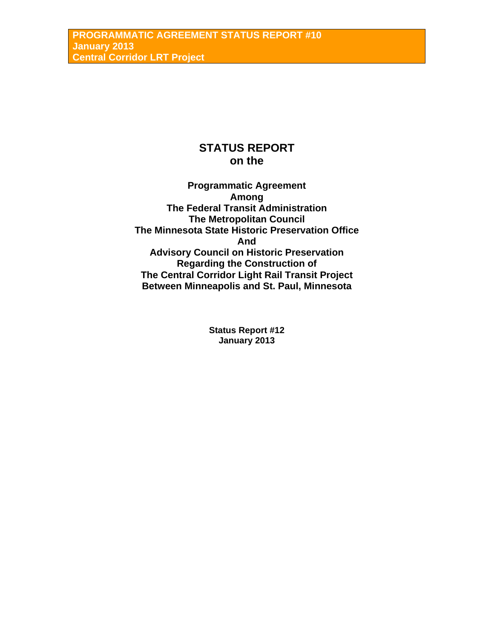# **STATUS REPORT on the**

**Programmatic Agreement Among The Federal Transit Administration The Metropolitan Council The Minnesota State Historic Preservation Office And Advisory Council on Historic Preservation Regarding the Construction of The Central Corridor Light Rail Transit Project Between Minneapolis and St. Paul, Minnesota** 

> **Status Report #12 January 2013**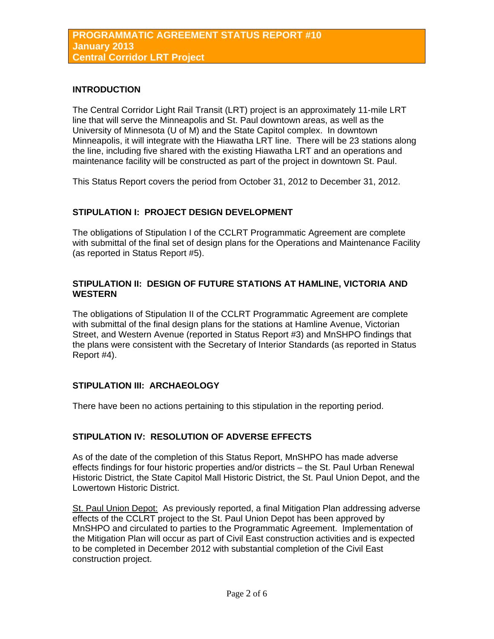## **INTRODUCTION**

The Central Corridor Light Rail Transit (LRT) project is an approximately 11-mile LRT line that will serve the Minneapolis and St. Paul downtown areas, as well as the University of Minnesota (U of M) and the State Capitol complex. In downtown Minneapolis, it will integrate with the Hiawatha LRT line. There will be 23 stations along the line, including five shared with the existing Hiawatha LRT and an operations and maintenance facility will be constructed as part of the project in downtown St. Paul.

This Status Report covers the period from October 31, 2012 to December 31, 2012.

## **STIPULATION I: PROJECT DESIGN DEVELOPMENT**

The obligations of Stipulation I of the CCLRT Programmatic Agreement are complete with submittal of the final set of design plans for the Operations and Maintenance Facility (as reported in Status Report #5).

## **STIPULATION II: DESIGN OF FUTURE STATIONS AT HAMLINE, VICTORIA AND WESTERN**

The obligations of Stipulation II of the CCLRT Programmatic Agreement are complete with submittal of the final design plans for the stations at Hamline Avenue, Victorian Street, and Western Avenue (reported in Status Report #3) and MnSHPO findings that the plans were consistent with the Secretary of Interior Standards (as reported in Status Report #4).

# **STIPULATION III: ARCHAEOLOGY**

There have been no actions pertaining to this stipulation in the reporting period.

## **STIPULATION IV: RESOLUTION OF ADVERSE EFFECTS**

As of the date of the completion of this Status Report, MnSHPO has made adverse effects findings for four historic properties and/or districts – the St. Paul Urban Renewal Historic District, the State Capitol Mall Historic District, the St. Paul Union Depot, and the Lowertown Historic District.

St. Paul Union Depot: As previously reported, a final Mitigation Plan addressing adverse effects of the CCLRT project to the St. Paul Union Depot has been approved by MnSHPO and circulated to parties to the Programmatic Agreement. Implementation of the Mitigation Plan will occur as part of Civil East construction activities and is expected to be completed in December 2012 with substantial completion of the Civil East construction project.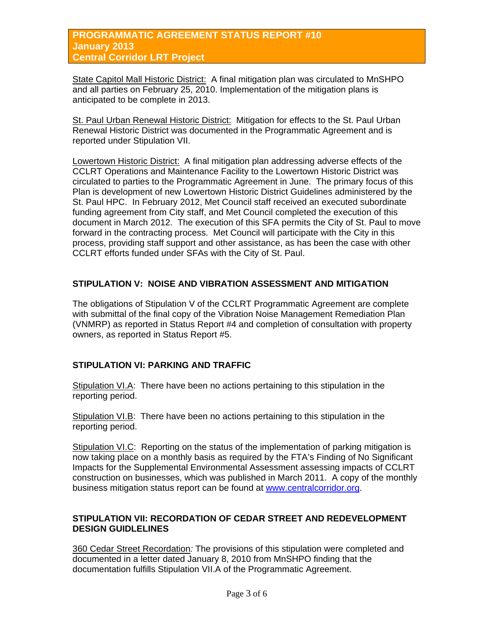# **PROGRAMMATIC AGREEMENT STATUS REPORT #10 January 2013 Central Corridor LRT Project**

State Capitol Mall Historic District: A final mitigation plan was circulated to MnSHPO and all parties on February 25, 2010. Implementation of the mitigation plans is anticipated to be complete in 2013.

St. Paul Urban Renewal Historic District: Mitigation for effects to the St. Paul Urban Renewal Historic District was documented in the Programmatic Agreement and is reported under Stipulation VII.

Lowertown Historic District: A final mitigation plan addressing adverse effects of the CCLRT Operations and Maintenance Facility to the Lowertown Historic District was circulated to parties to the Programmatic Agreement in June. The primary focus of this Plan is development of new Lowertown Historic District Guidelines administered by the St. Paul HPC. In February 2012, Met Council staff received an executed subordinate funding agreement from City staff, and Met Council completed the execution of this document in March 2012. The execution of this SFA permits the City of St. Paul to move forward in the contracting process. Met Council will participate with the City in this process, providing staff support and other assistance, as has been the case with other CCLRT efforts funded under SFAs with the City of St. Paul.

# **STIPULATION V: NOISE AND VIBRATION ASSESSMENT AND MITIGATION**

The obligations of Stipulation V of the CCLRT Programmatic Agreement are complete with submittal of the final copy of the Vibration Noise Management Remediation Plan (VNMRP) as reported in Status Report #4 and completion of consultation with property owners, as reported in Status Report #5.

# **STIPULATION VI: PARKING AND TRAFFIC**

Stipulation VI.A: There have been no actions pertaining to this stipulation in the reporting period.

Stipulation VI.B: There have been no actions pertaining to this stipulation in the reporting period.

Stipulation VI.C: Reporting on the status of the implementation of parking mitigation is now taking place on a monthly basis as required by the FTA's Finding of No Significant Impacts for the Supplemental Environmental Assessment assessing impacts of CCLRT construction on businesses, which was published in March 2011. A copy of the monthly business mitigation status report can be found at [www.centralcorridor.org.](http://www.centralcorridor.org/)

## **STIPULATION VII: RECORDATION OF CEDAR STREET AND REDEVELOPMENT DESIGN GUIDLELINES**

360 Cedar Street Recordation*:* The provisions of this stipulation were completed and documented in a letter dated January 8, 2010 from MnSHPO finding that the documentation fulfills Stipulation VII.A of the Programmatic Agreement.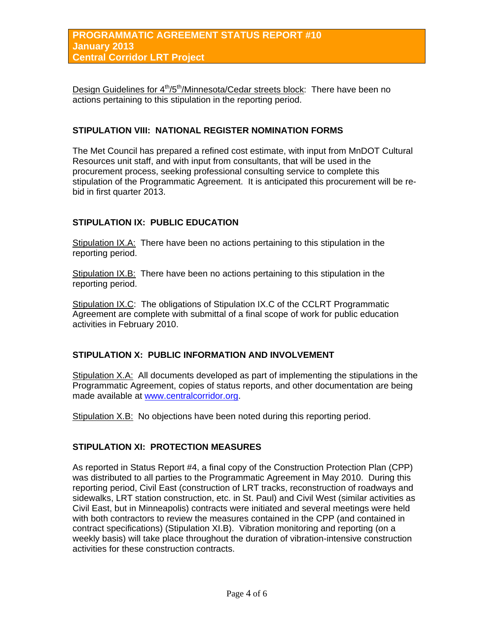Design Guidelines for  $4<sup>th</sup>/5<sup>th</sup>/Minnesota/Cedar streets block: There have been no$ actions pertaining to this stipulation in the reporting period.

## **STIPULATION VIII: NATIONAL REGISTER NOMINATION FORMS**

The Met Council has prepared a refined cost estimate, with input from MnDOT Cultural Resources unit staff, and with input from consultants, that will be used in the procurement process, seeking professional consulting service to complete this stipulation of the Programmatic Agreement. It is anticipated this procurement will be rebid in first quarter 2013.

## **STIPULATION IX: PUBLIC EDUCATION**

Stipulation IX.A: There have been no actions pertaining to this stipulation in the reporting period.

Stipulation IX.B: There have been no actions pertaining to this stipulation in the reporting period.

Stipulation IX.C: The obligations of Stipulation IX.C of the CCLRT Programmatic Agreement are complete with submittal of a final scope of work for public education activities in February 2010.

## **STIPULATION X: PUBLIC INFORMATION AND INVOLVEMENT**

Stipulation X.A: All documents developed as part of implementing the stipulations in the Programmatic Agreement, copies of status reports, and other documentation are being made available at [www.centralcorridor.org](http://www.centralcorridor.org/).

Stipulation X.B: No objections have been noted during this reporting period.

#### **STIPULATION XI: PROTECTION MEASURES**

As reported in Status Report #4, a final copy of the Construction Protection Plan (CPP) was distributed to all parties to the Programmatic Agreement in May 2010. During this reporting period, Civil East (construction of LRT tracks, reconstruction of roadways and sidewalks, LRT station construction, etc. in St. Paul) and Civil West (similar activities as Civil East, but in Minneapolis) contracts were initiated and several meetings were held with both contractors to review the measures contained in the CPP (and contained in contract specifications) (Stipulation XI.B). Vibration monitoring and reporting (on a weekly basis) will take place throughout the duration of vibration-intensive construction activities for these construction contracts.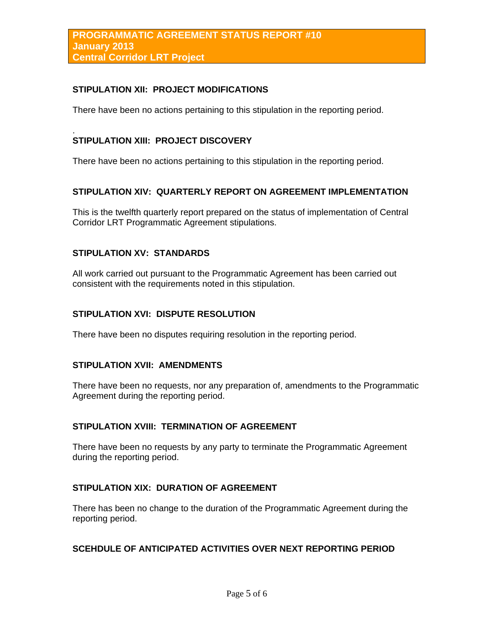# **STIPULATION XII: PROJECT MODIFICATIONS**

There have been no actions pertaining to this stipulation in the reporting period.

#### . **STIPULATION XIII: PROJECT DISCOVERY**

There have been no actions pertaining to this stipulation in the reporting period.

## **STIPULATION XIV: QUARTERLY REPORT ON AGREEMENT IMPLEMENTATION**

This is the twelfth quarterly report prepared on the status of implementation of Central Corridor LRT Programmatic Agreement stipulations.

## **STIPULATION XV: STANDARDS**

All work carried out pursuant to the Programmatic Agreement has been carried out consistent with the requirements noted in this stipulation.

## **STIPULATION XVI: DISPUTE RESOLUTION**

There have been no disputes requiring resolution in the reporting period.

#### **STIPULATION XVII: AMENDMENTS**

There have been no requests, nor any preparation of, amendments to the Programmatic Agreement during the reporting period.

# **STIPULATION XVIII: TERMINATION OF AGREEMENT**

There have been no requests by any party to terminate the Programmatic Agreement during the reporting period.

## **STIPULATION XIX: DURATION OF AGREEMENT**

There has been no change to the duration of the Programmatic Agreement during the reporting period.

# **SCEHDULE OF ANTICIPATED ACTIVITIES OVER NEXT REPORTING PERIOD**